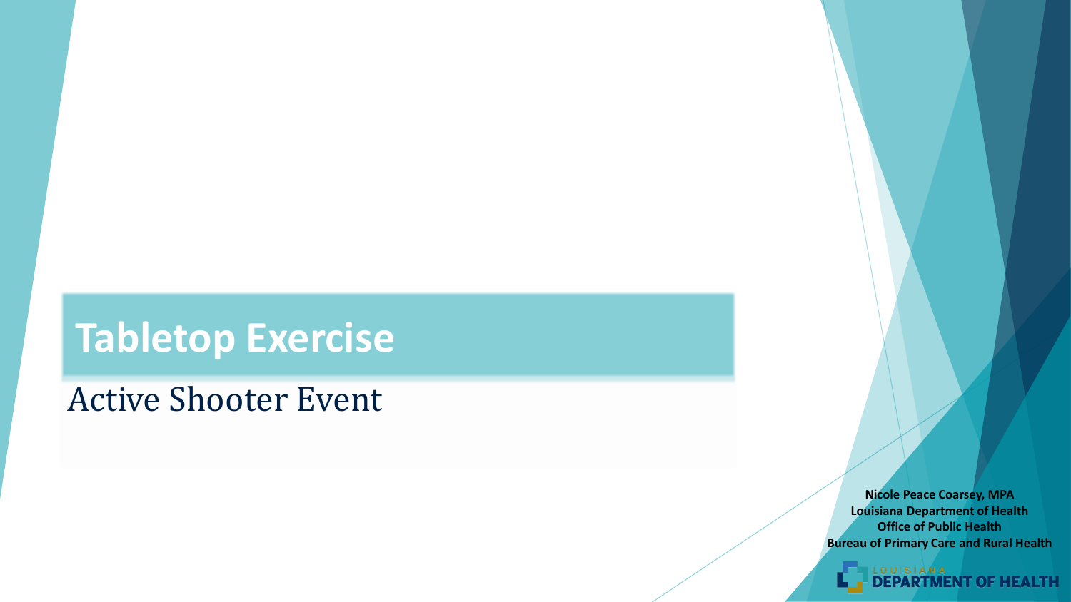## **Tabletop Exercise**

#### Active Shooter Event

**Nicole Peace Coarsey, MPA Louisiana Department of Health Office of Public Health Bureau of Primary Care and Rural Health**

**OF HEALTH**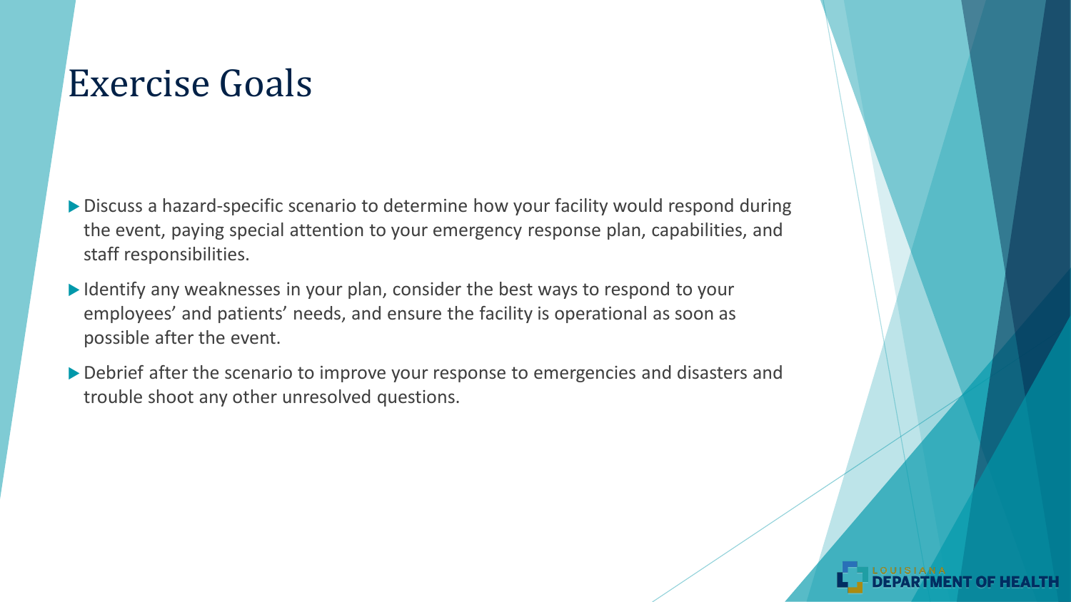#### Exercise Goals

- ▶ Discuss a hazard-specific scenario to determine how your facility would respond during the event, paying special attention to your emergency response plan, capabilities, and staff responsibilities.
- I Identify any weaknesses in your plan, consider the best ways to respond to your employees' and patients' needs, and ensure the facility is operational as soon as possible after the event.
- Debrief after the scenario to improve your response to emergencies and disasters and trouble shoot any other unresolved questions.

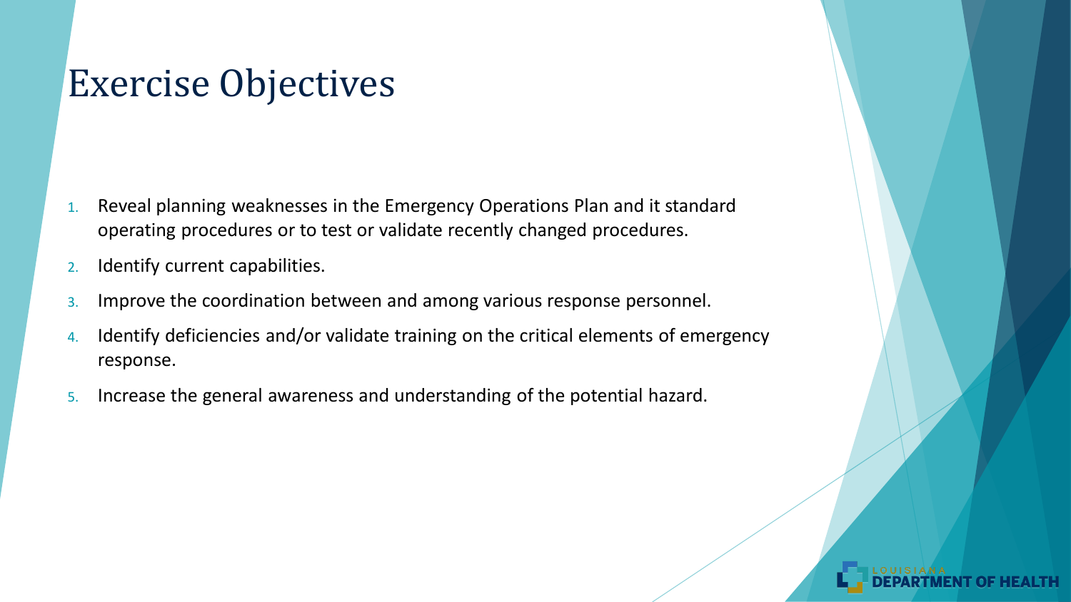#### Exercise Objectives

- 1. Reveal planning weaknesses in the Emergency Operations Plan and it standard operating procedures or to test or validate recently changed procedures.
- 2. Identify current capabilities.
- 3. Improve the coordination between and among various response personnel.
- 4. Identify deficiencies and/or validate training on the critical elements of emergency response.
- 5. Increase the general awareness and understanding of the potential hazard.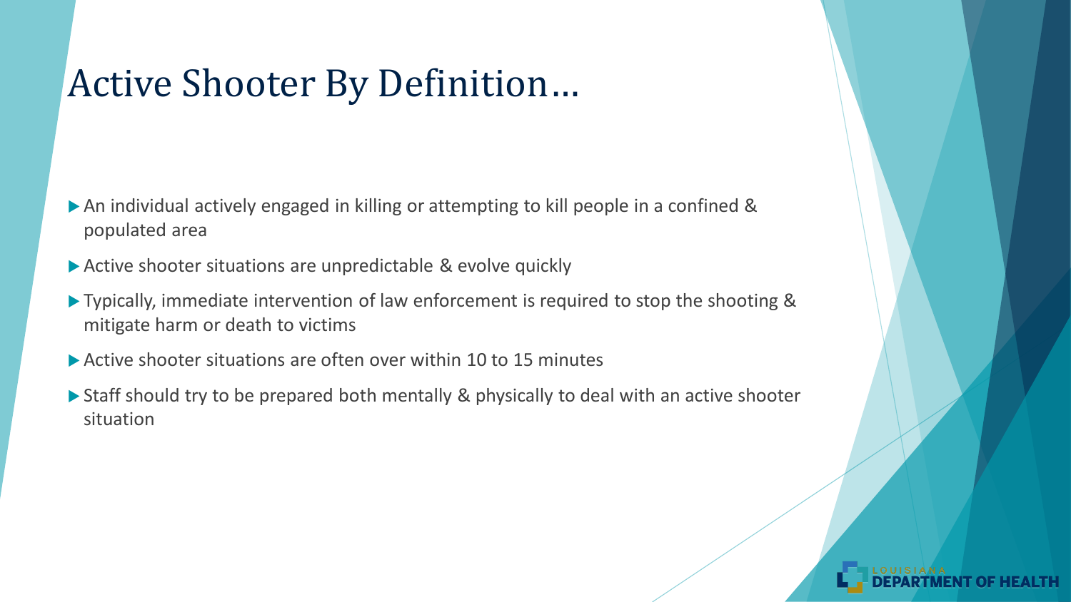#### Active Shooter By Definition…

- An individual actively engaged in killing or attempting to kill people in a confined & populated area
- Active shooter situations are unpredictable & evolve quickly
- ▶ Typically, immediate intervention of law enforcement is required to stop the shooting & mitigate harm or death to victims
- ▶ Active shooter situations are often over within 10 to 15 minutes
- ▶ Staff should try to be prepared both mentally & physically to deal with an active shooter situation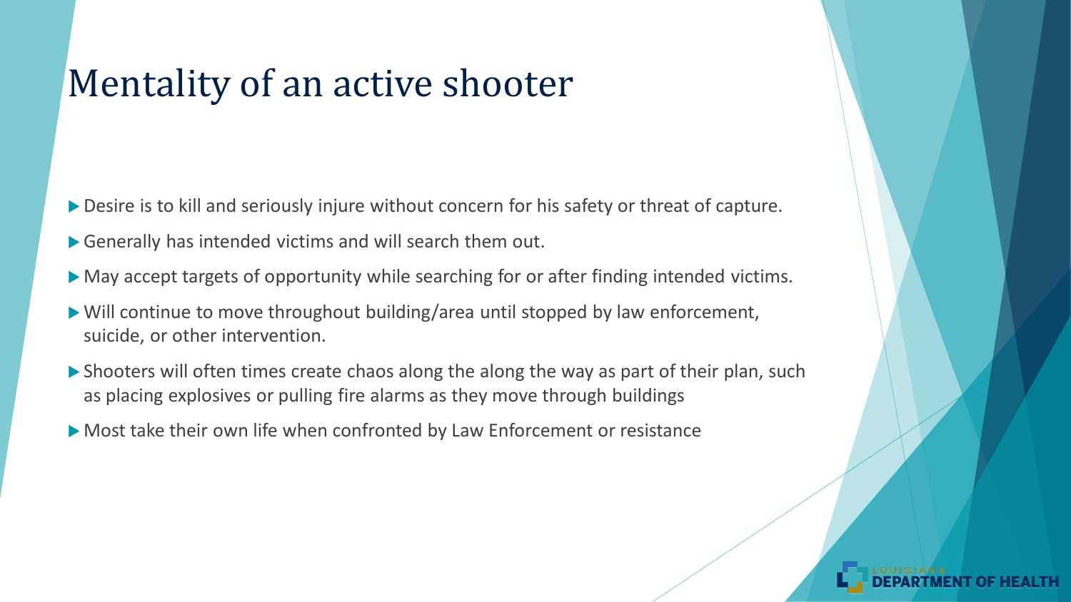#### Mentality of an active shooter

- Desire is to kill and seriously injure without concern for his safety or threat of capture.
- Generally has intended victims and will search them out.
- May accept targets of opportunity while searching for or after finding intended victims.
- Will continue to move throughout building/area until stopped by law enforcement, suicide, or other intervention.
- Shooters will often times create chaos along the along the way as part of their plan, such as placing explosives or pulling fire alarms as they move through buildings
- Most take their own life when confronted by Law Enforcement or resistance

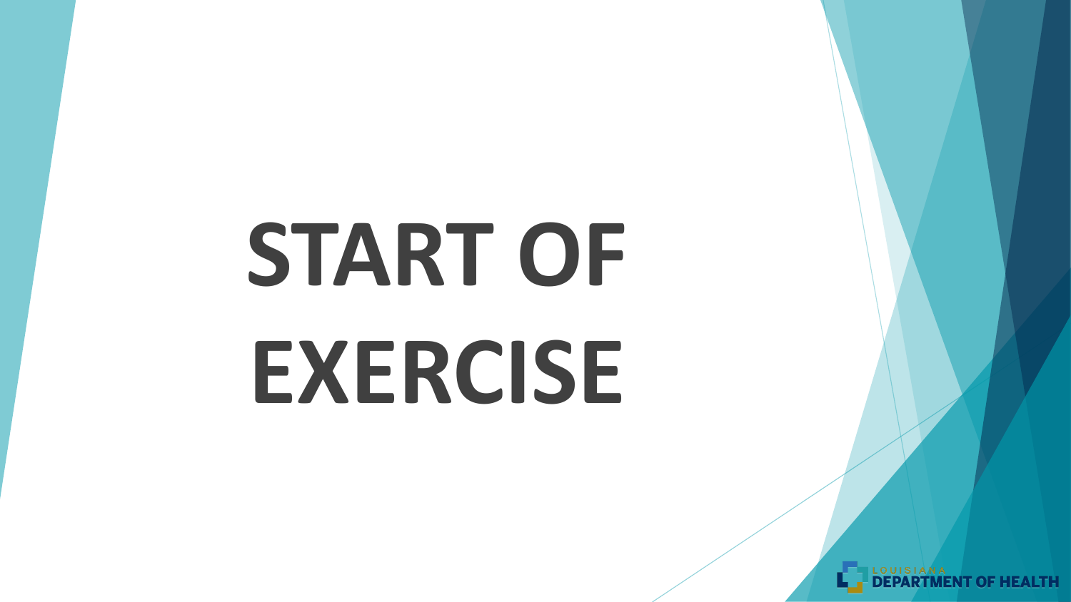# START OF **EXERCISE**

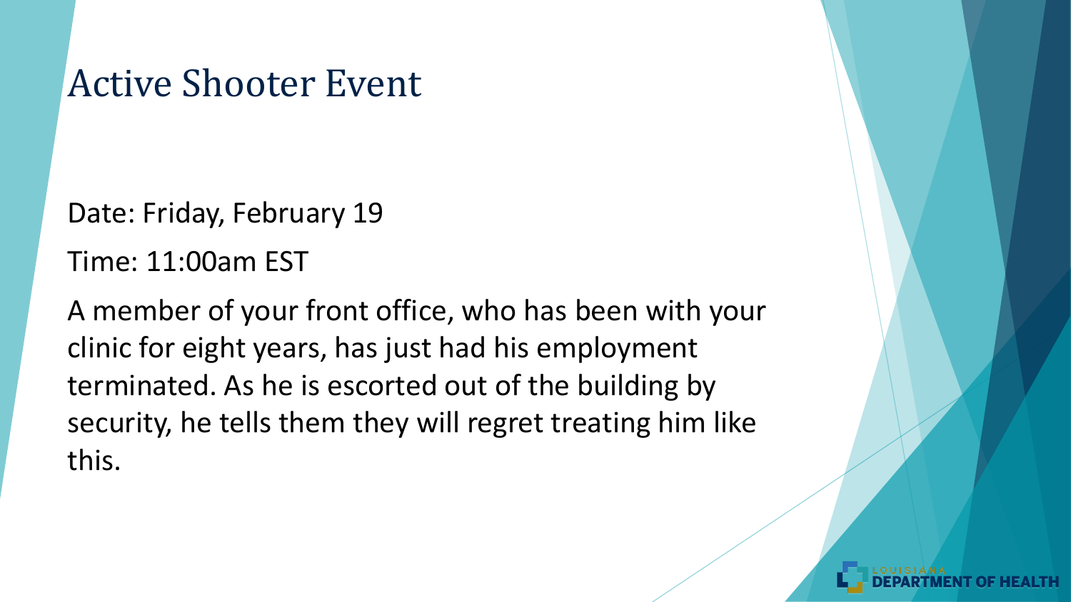#### Active Shooter Event

Date: Friday, February 19

Time: 11:00am EST

A member of your front office, who has been with your clinic for eight years, has just had his employment terminated. As he is escorted out of the building by security, he tells them they will regret treating him like this.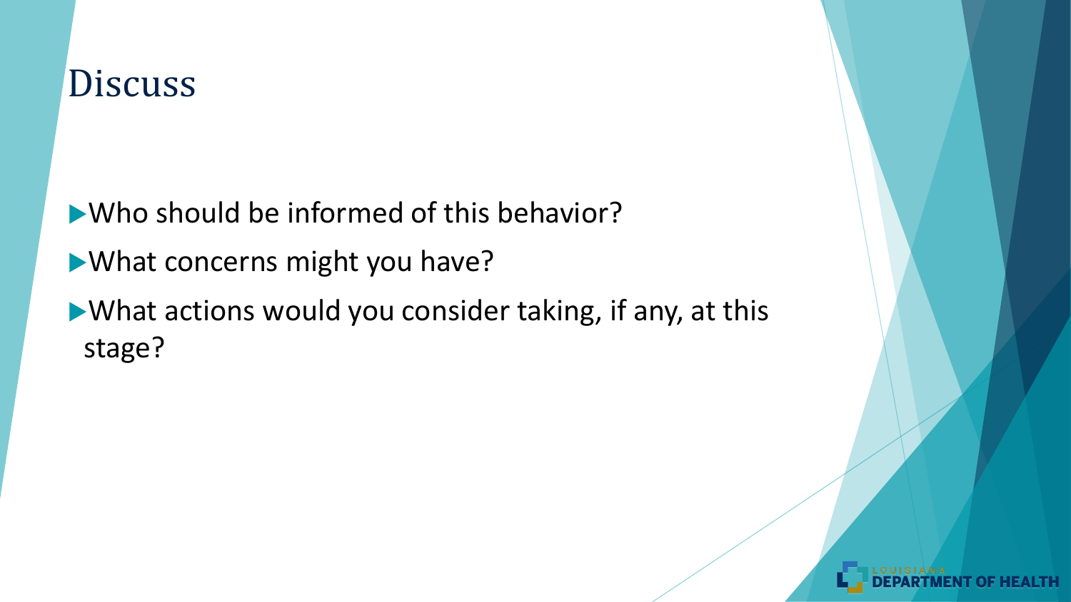Who should be informed of this behavior? What concerns might you have? What actions would you consider taking, if any, at this stage?

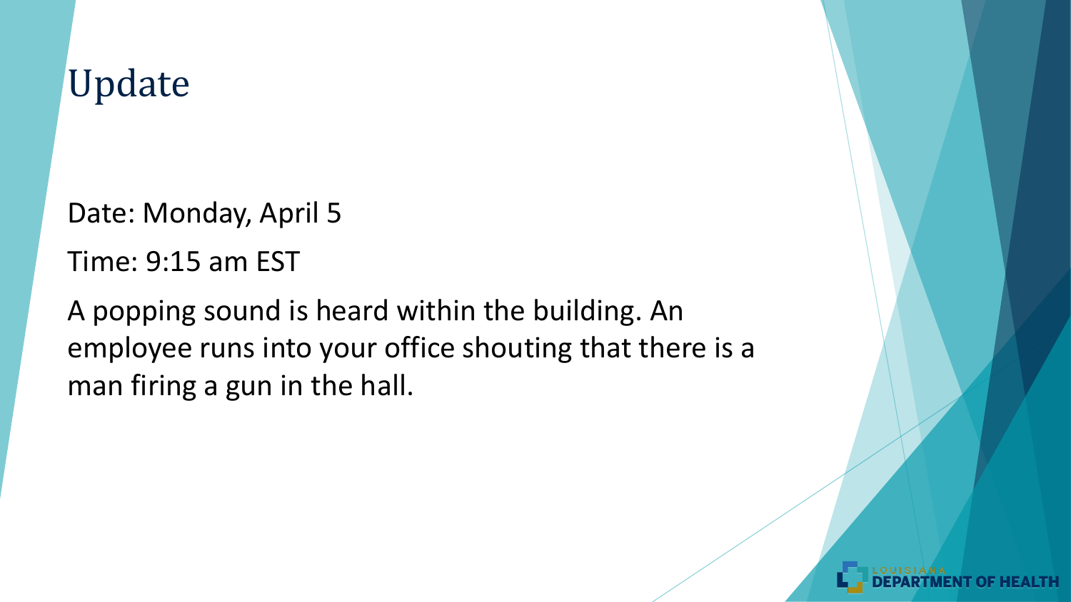Date: Monday, April 5

Time: 9:15 am EST

A popping sound is heard within the building. An employee runs into your office shouting that there is a man firing a gun in the hall.

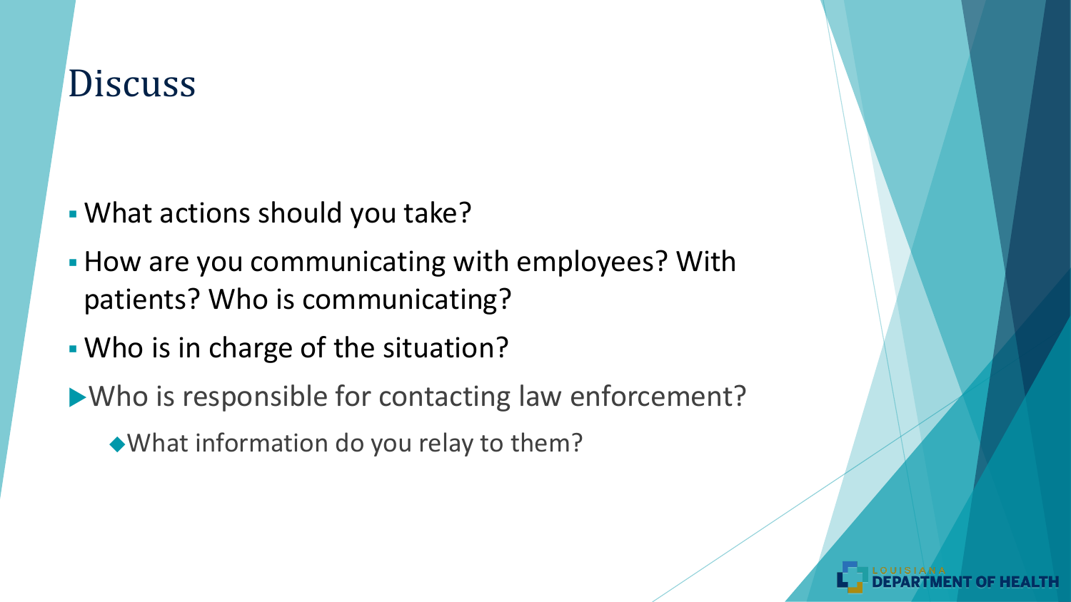- What actions should you take?
- **How are you communicating with employees? With** patients? Who is communicating?
- Who is in charge of the situation?
- Who is responsible for contacting law enforcement?
	- What information do you relay to them?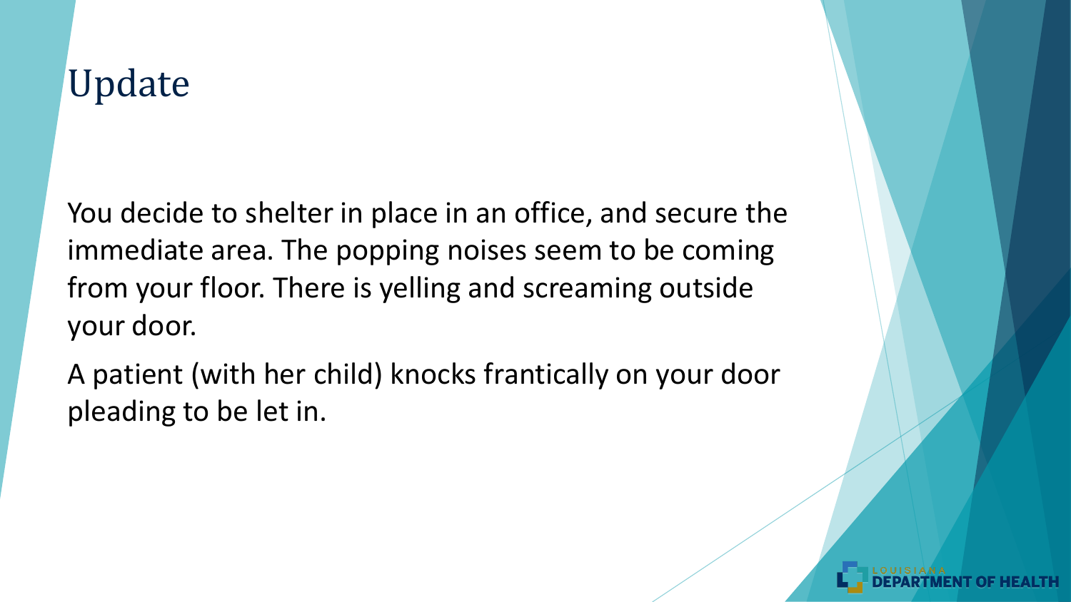You decide to shelter in place in an office, and secure the immediate area. The popping noises seem to be coming from your floor. There is yelling and screaming outside your door.

A patient (with her child) knocks frantically on your door pleading to be let in.

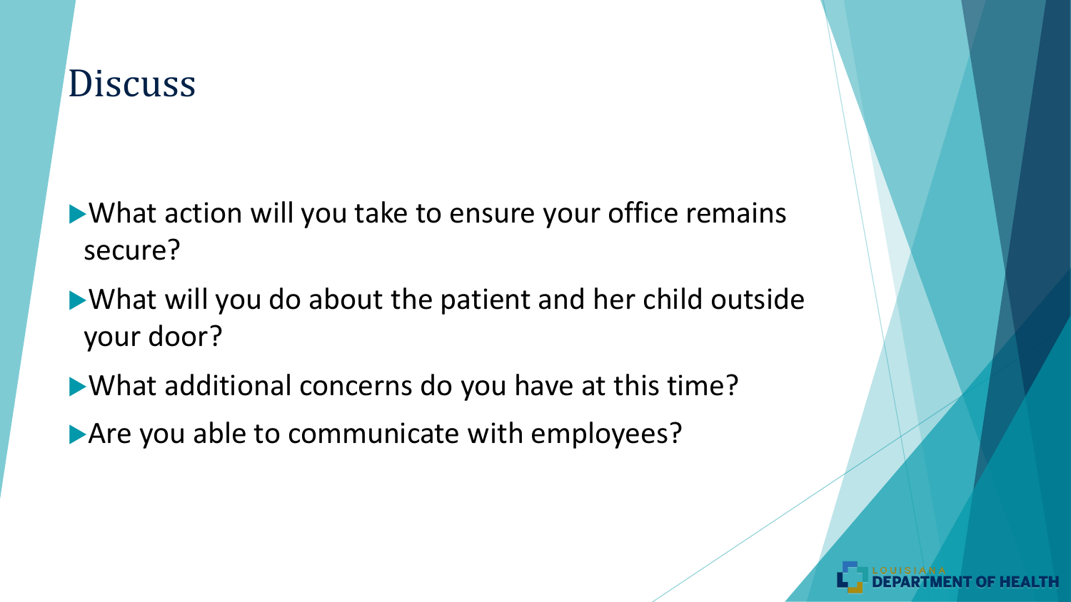What action will you take to ensure your office remains secure?

What will you do about the patient and her child outside your door?

What additional concerns do you have at this time? Are you able to communicate with employees?

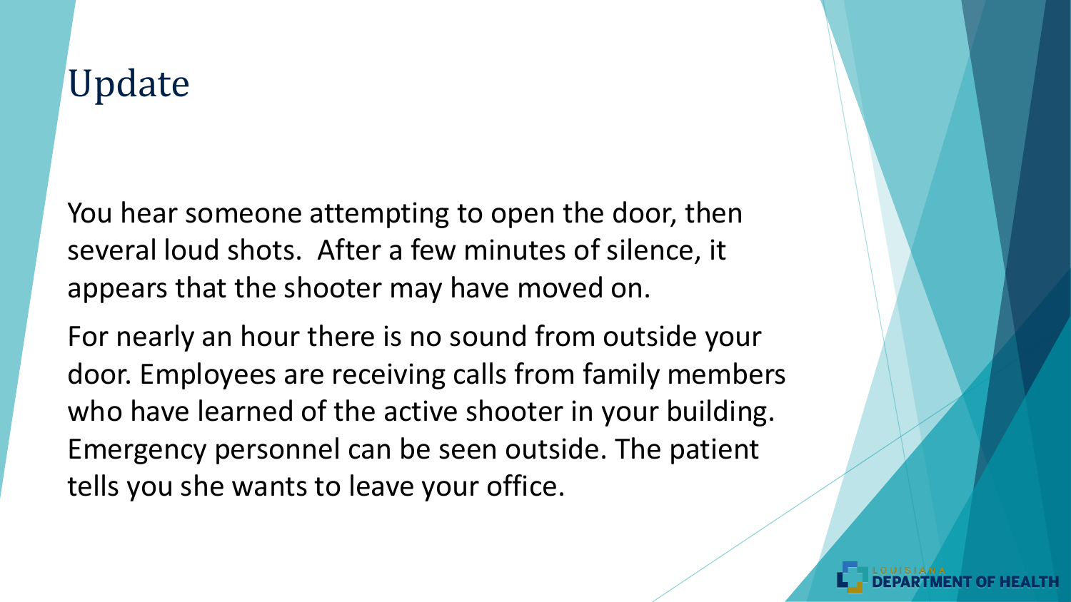You hear someone attempting to open the door, then several loud shots. After a few minutes of silence, it appears that the shooter may have moved on.

For nearly an hour there is no sound from outside your door. Employees are receiving calls from family members who have learned of the active shooter in your building. Emergency personnel can be seen outside. The patient tells you she wants to leave your office.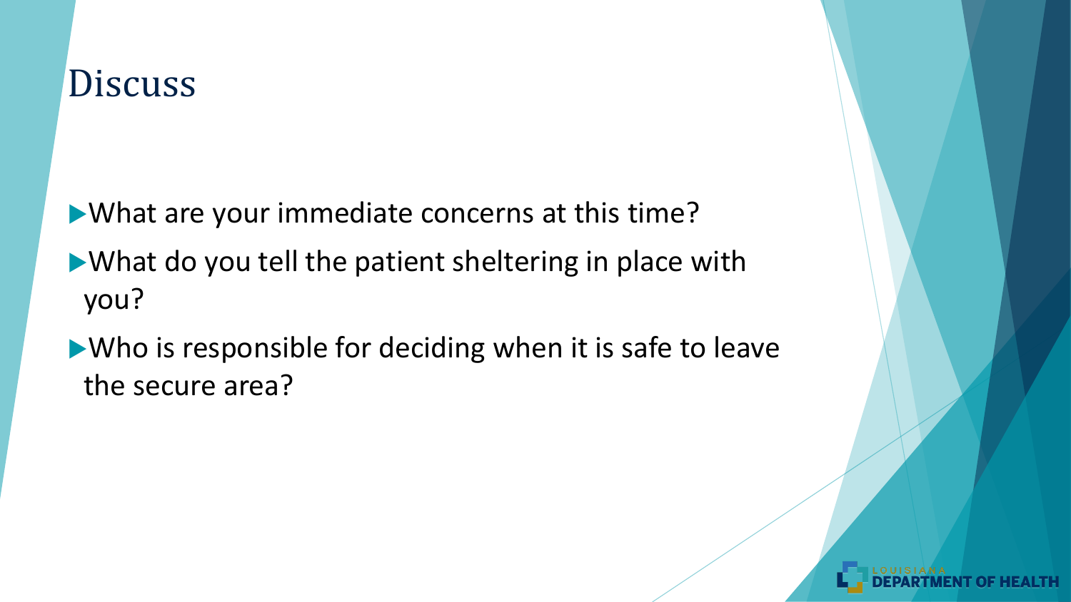What are your immediate concerns at this time?

- What do you tell the patient sheltering in place with you?
- Who is responsible for deciding when it is safe to leave the secure area?

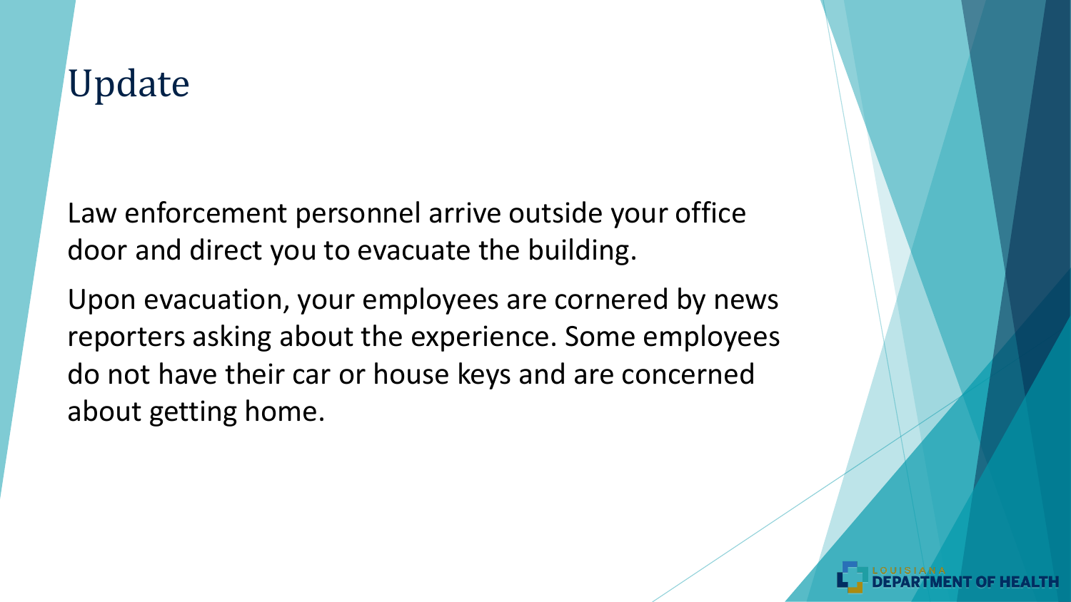Law enforcement personnel arrive outside your office door and direct you to evacuate the building.

Upon evacuation, your employees are cornered by news reporters asking about the experience. Some employees do not have their car or house keys and are concerned about getting home.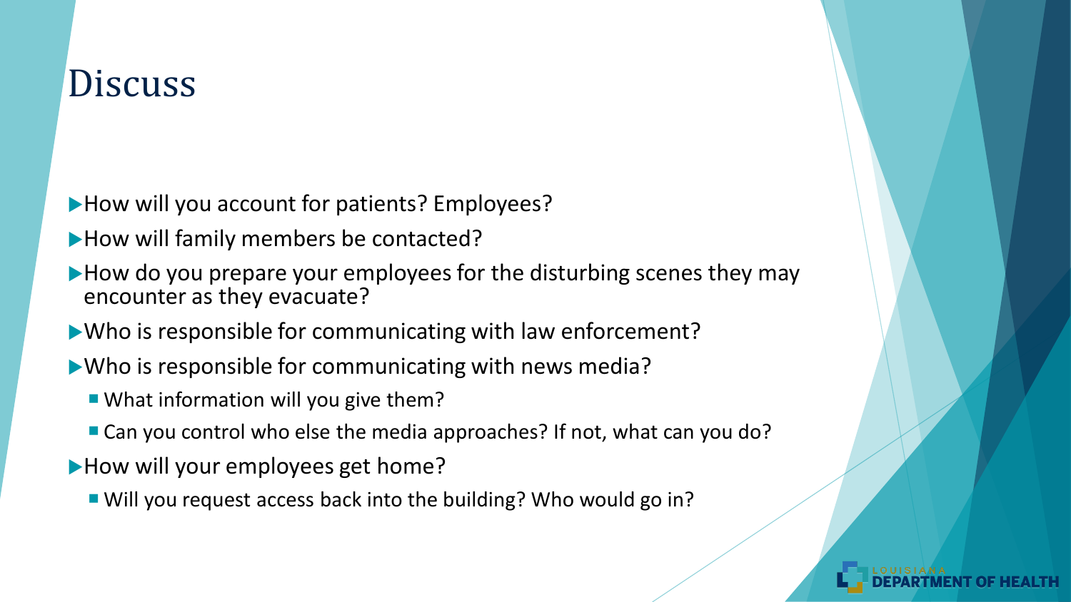- How will you account for patients? Employees?
- How will family members be contacted?
- How do you prepare your employees for the disturbing scenes they may encounter as they evacuate?
- Who is responsible for communicating with law enforcement?
- Who is responsible for communicating with news media?
	- What information will you give them?
	- Can you control who else the media approaches? If not, what can you do?
- How will your employees get home?
	- Will you request access back into the building? Who would go in?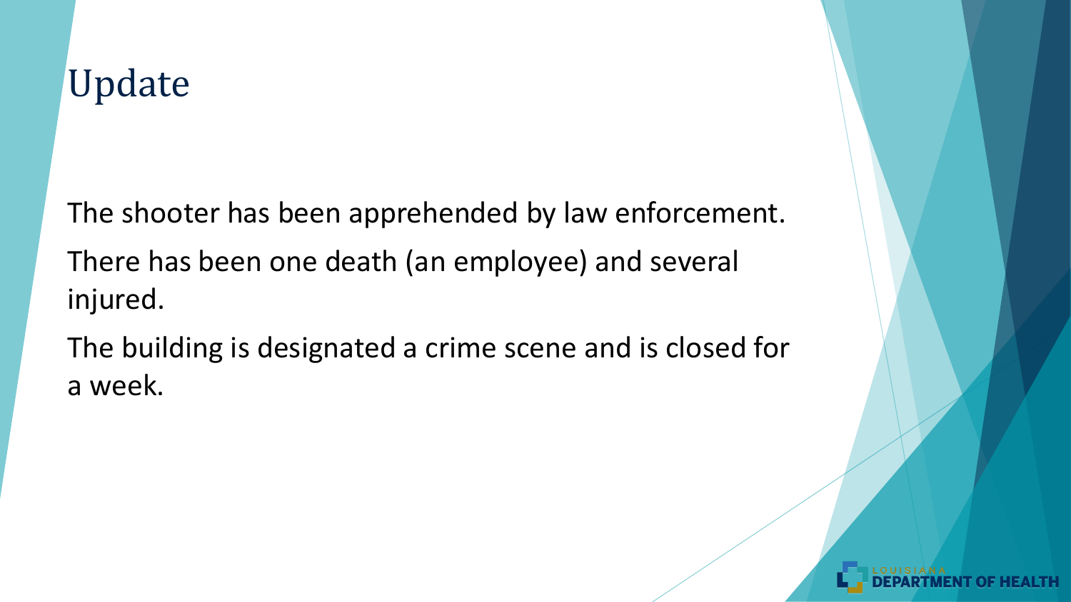The shooter has been apprehended by law enforcement. There has been one death (an employee) and several injured.

The building is designated a crime scene and is closed for a week.

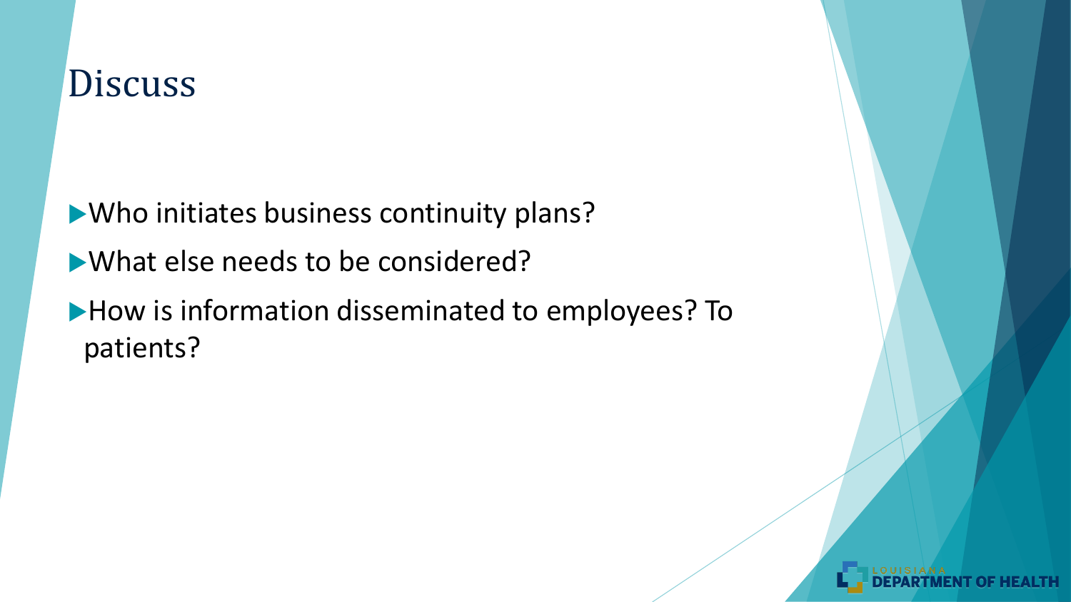Who initiates business continuity plans? What else needs to be considered? How is information disseminated to employees? To patients?

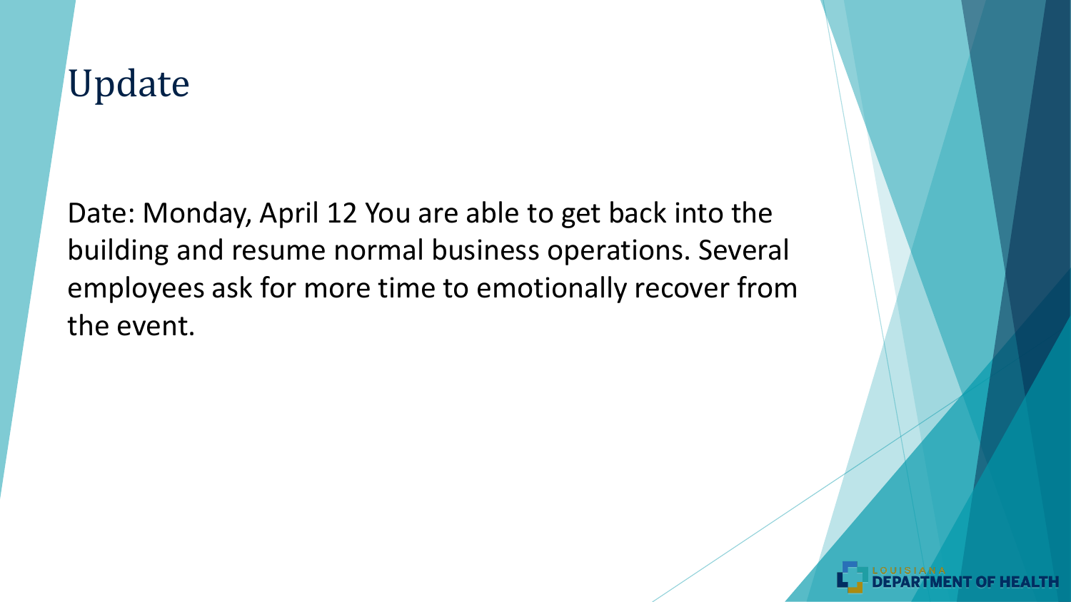Date: Monday, April 12 You are able to get back into the building and resume normal business operations. Several employees ask for more time to emotionally recover from the event.

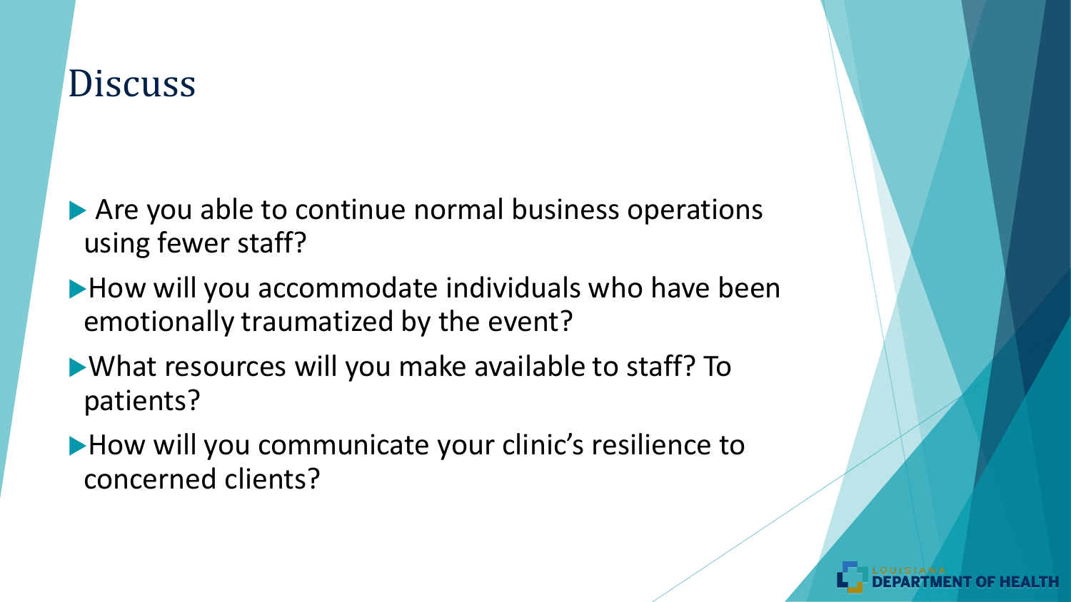- ▶ Are you able to continue normal business operations using fewer staff?
- How will you accommodate individuals who have been emotionally traumatized by the event?
- What resources will you make available to staff? To patients?
- How will you communicate your clinic's resilience to concerned clients?

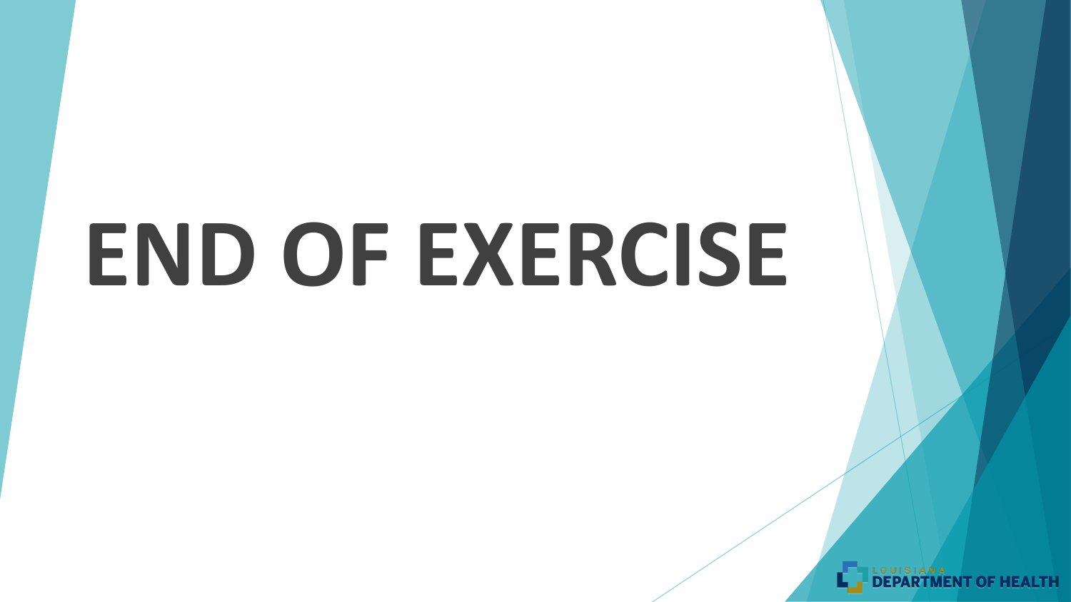# **END OF EXERCISE**

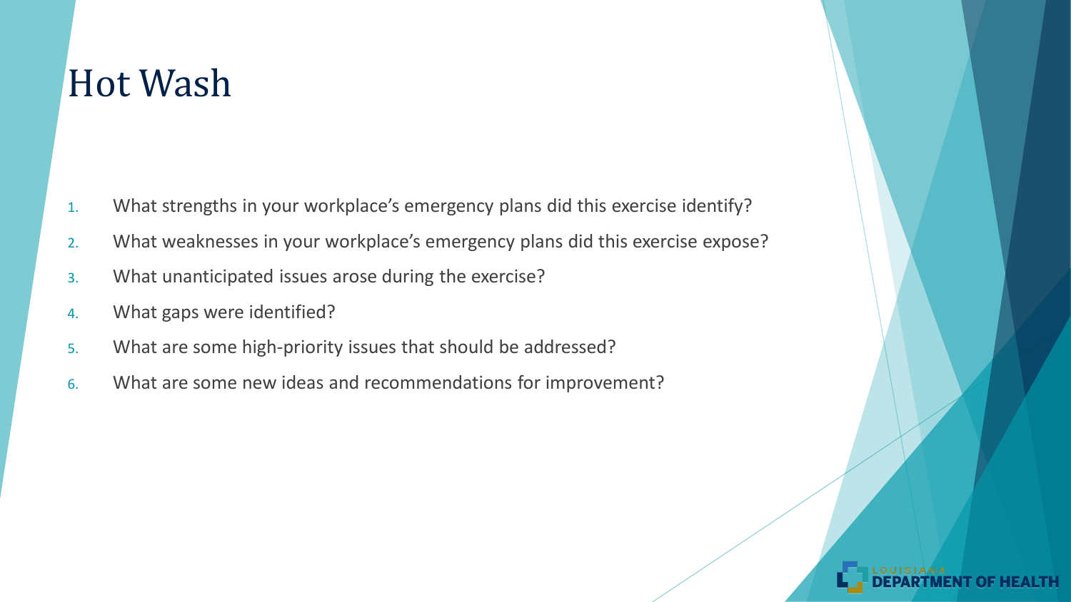#### Hot Wash

- 1. What strengths in your workplace's emergency plans did this exercise identify?
- 2. What weaknesses in your workplace's emergency plans did this exercise expose?
- 3. What unanticipated issues arose during the exercise?
- 4. What gaps were identified?
- 5. What are some high-priority issues that should be addressed?
- 6. What are some new ideas and recommendations for improvement?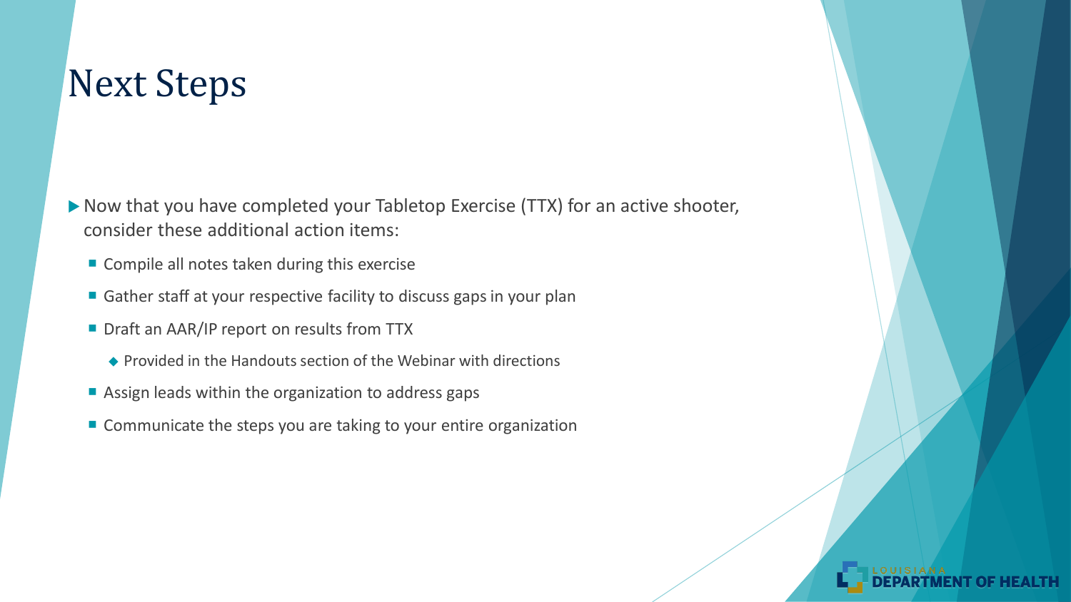### Next Steps

▶ Now that you have completed your Tabletop Exercise (TTX) for an active shooter, consider these additional action items:

- Compile all notes taken during this exercise
- Gather staff at your respective facility to discuss gaps in your plan
- Draft an AAR/IP report on results from TTX
	- Provided in the Handouts section of the Webinar with directions
- Assign leads within the organization to address gaps
- Communicate the steps you are taking to your entire organization